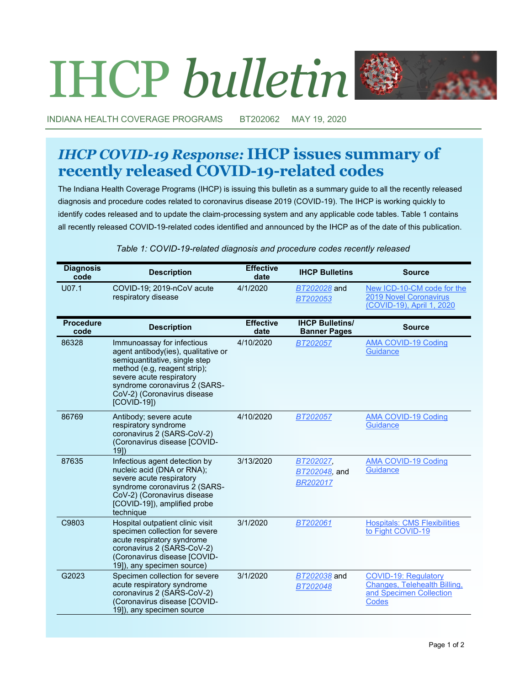# IHCP *bulletin*



INDIANA HEALTH COVERAGE PROGRAMS BT202062 MAY 19, 2020

## *IHCP COVID-19 Response:* **IHCP issues summary of recently released COVID-19-related codes**

The Indiana Health Coverage Programs (IHCP) is issuing this bulletin as a summary guide to all the recently released diagnosis and procedure codes related to coronavirus disease 2019 (COVID-19). The IHCP is working quickly to identify codes released and to update the claim-processing system and any applicable code tables. Table 1 contains all recently released COVID-19-related codes identified and announced by the IHCP as of the date of this publication.

#### **Diagnosis Condensity Condensity Condensity Condensity Condensity Condensity Condensity Condensity Condensity Condensity Condensity Condensity Condensity Condensity Condensity Condensity Condensity date IHCP Bulletins Source** U07.1 COVID-19; 2019-nCoV acute respiratory disease 4/1/2020 *[BT202028](http://provider.indianamedicaid.com/ihcp/Bulletins/BT202028.pdf)* and *[BT202053](http://provider.indianamedicaid.com/ihcp/Bulletins/BT202053.pdf)* New ICD-10-[CM code for the](https://www.cdc.gov/nchs/data/icd/Announcement-New-ICD-code-for-coronavirus-3-18-2020.pdf)  [2019 Novel Coronavirus](https://www.cdc.gov/nchs/data/icd/Announcement-New-ICD-code-for-coronavirus-3-18-2020.pdf)  (COVID-[19\), April 1, 2020](https://www.cdc.gov/nchs/data/icd/Announcement-New-ICD-code-for-coronavirus-3-18-2020.pdf) **Procedure code Description Effective date IHCP Bulletins/ Banner Pages Source** 86328 Immunoassay for infectious agent antibody(ies), qualitative or semiquantitative, single step method (e.g, reagent strip); severe acute respiratory syndrome coronavirus 2 (SARS-CoV-2) (Coronavirus disease [COVID-19]) 4/10/2020 *[BT202057](http://provider.indianamedicaid.com/ihcp/Bulletins/BT202057.pdf)* [AMA COVID](https://www.ama-assn.org/practice-management/cpt/covid-19-coding-and-guidance)-19 Coding **[Guidance](https://www.ama-assn.org/practice-management/cpt/covid-19-coding-and-guidance)** 86769 Antibody; severe acute respiratory syndrome coronavirus 2 (SARS-CoV-2) (Coronavirus disease [COVID-19]) 4/10/2020 *[BT202057](http://provider.indianamedicaid.com/ihcp/Bulletins/BT202057.pdf)* [AMA COVID](https://www.ama-assn.org/practice-management/cpt/covid-19-coding-and-guidance)-19 Coding **[Guidance](https://www.ama-assn.org/practice-management/cpt/covid-19-coding-and-guidance)** 87635 Infectious agent detection by nucleic acid (DNA or RNA); severe acute respiratory syndrome coronavirus 2 (SARS-CoV-2) (Coronavirus disease [COVID-19]), amplified probe technique 3/13/2020 *[BT202027,](http://provider.indianamedicaid.com/ihcp/Bulletins/BT202027.pdf) [BT202048,](http://provider.indianamedicaid.com/ihcp/Bulletins/BT202048.pdf)* and *[BR202017](http://provider.indianamedicaid.com/ihcp/Banners/BR202017.pdf)* [AMA COVID](https://www.ama-assn.org/practice-management/cpt/covid-19-coding-and-guidance)-19 Coding **[Guidance](https://www.ama-assn.org/practice-management/cpt/covid-19-coding-and-guidance)** C9803 Hospital outpatient clinic visit specimen collection for severe acute respiratory syndrome coronavirus 2 (SARS-CoV-2) (Coronavirus disease [COVID-19]), any specimen source) 3/1/2020 *[BT202061](http://provider.indianamedicaid.com/ihcp/Bulletins/BT202061.pdf)* [Hospitals: CMS Flexibilities](https://www.cms.gov/files/document/covid-hospitals.pdf)  [to Fight COVID](https://www.cms.gov/files/document/covid-hospitals.pdf)-19 G2023 Specimen collection for severe acute respiratory syndrome coronavirus 2 (SARS-CoV-2) (Coronavirus disease [COVID-19]), any specimen source 3/1/2020 *[BT202038](http://provider.indianamedicaid.com/ihcp/Bulletins/BT202038.pdf)* and *[BT202048](http://provider.indianamedicaid.com/ihcp/Bulletins/BT202048.pdf)* COVID-[19: Regulatory](https://www.cms.gov/outreach-and-educationoutreachffsprovpartprogprovider-partnership-email-archive/2020-03-31-mlnc-se)  [Changes, Telehealth Billing,](https://www.cms.gov/outreach-and-educationoutreachffsprovpartprogprovider-partnership-email-archive/2020-03-31-mlnc-se)  [and Specimen Collection](https://www.cms.gov/outreach-and-educationoutreachffsprovpartprogprovider-partnership-email-archive/2020-03-31-mlnc-se)  **[Codes](https://www.cms.gov/outreach-and-educationoutreachffsprovpartprogprovider-partnership-email-archive/2020-03-31-mlnc-se)**

#### *Table 1: COVID-19-related diagnosis and procedure codes recently released*